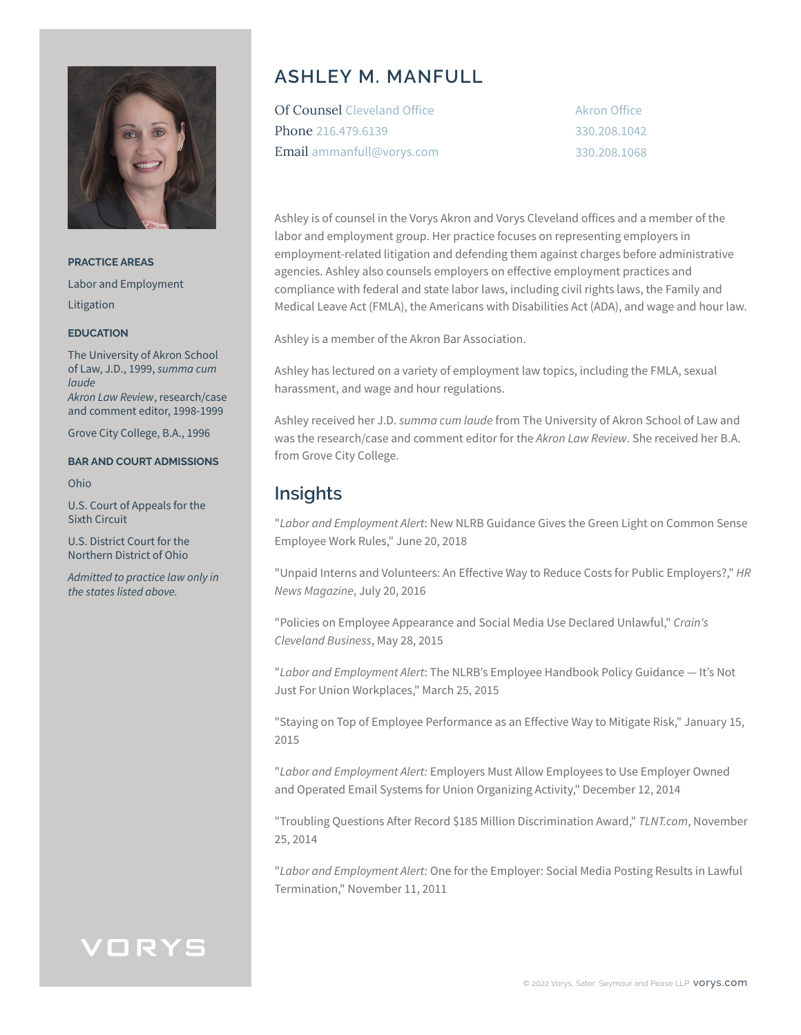

**PRACTICE AREAS** Labor and Employment Litigation

#### **EDUCATION**

The University of Akron School of Law, J.D., 1999, *summa cum laude Akron Law Review*, research/case and comment editor, 1998-1999

Grove City College, B.A., 1996

#### **BAR AND COURT ADMISSIONS**

Ohio

U.S. Court of Appeals for the Sixth Circuit

U.S. District Court for the Northern District of Ohio

*Admitted to practice law only in the states listed above.* 

## **ASHLEY M. MANFULL**

| <b>Of Counsel Cleveland Office</b> |
|------------------------------------|
| Phone 216.479.6139                 |
| Email ammanfull@vorys.com          |

Akron Office 330.208.1042 330.208.1068

Ashley is of counsel in the Vorys Akron and Vorys Cleveland offices and a member of the labor and employment group. Her practice focuses on representing employers in employment-related litigation and defending them against charges before administrative agencies. Ashley also counsels employers on effective employment practices and compliance with federal and state labor laws, including civil rights laws, the Family and Medical Leave Act (FMLA), the Americans with Disabilities Act (ADA), and wage and hour law.

Ashley is a member of the Akron Bar Association.

Ashley has lectured on a variety of employment law topics, including the FMLA, sexual harassment, and wage and hour regulations.

Ashley received her J.D. *summa cum laude* from The University of Akron School of Law and was the research/case and comment editor for the *Akron Law Review*. She received her B.A. from Grove City College.

## **Insights**

"*Labor and Employment Alert*: New NLRB Guidance Gives the Green Light on Common Sense Employee Work Rules," June 20, 2018

"Unpaid Interns and Volunteers: An Effective Way to Reduce Costs for Public Employers?," *HR News Magazine*, July 20, 2016

"Policies on Employee Appearance and Social Media Use Declared Unlawful," *Crain's Cleveland Business*, May 28, 2015

"*Labor and Employment Alert*: The NLRB's Employee Handbook Policy Guidance — It's Not Just For Union Workplaces," March 25, 2015

"Staying on Top of Employee Performance as an Effective Way to Mitigate Risk," January 15, 2015

"*Labor and Employment Alert:* Employers Must Allow Employees to Use Employer Owned and Operated Email Systems for Union Organizing Activity," December 12, 2014

"Troubling Questions After Record \$185 Million Discrimination Award," *TLNT.com*, November 25, 2014

"*Labor and Employment Alert:* One for the Employer: Social Media Posting Results in Lawful Termination," November 11, 2011

## VORYS